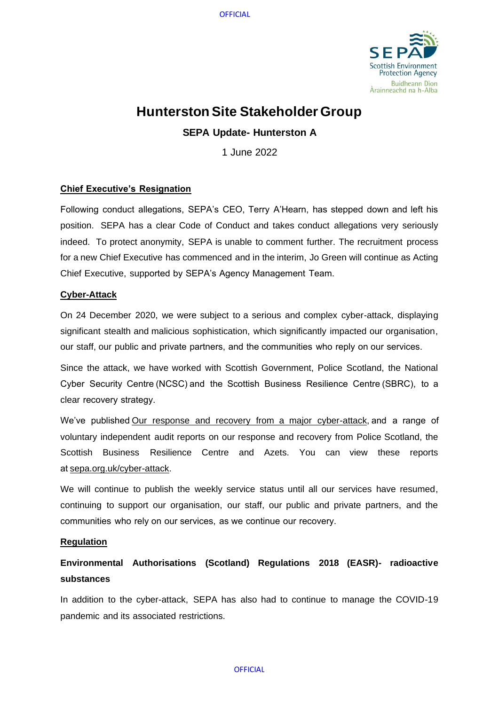**OFFICIAL** 



# **Hunterston Site Stakeholder Group**

# **SEPA Update- Hunterston A**

1 June 2022

# **Chief Executive's Resignation**

Following conduct allegations, SEPA's CEO, Terry A'Hearn, has stepped down and left his position. SEPA has a clear Code of Conduct and takes conduct allegations very seriously indeed. To protect anonymity, SEPA is unable to comment further. The recruitment process for a new Chief Executive has commenced and in the interim, Jo Green will continue as Acting Chief Executive, supported by SEPA's Agency Management Team.

# **Cyber-Attack**

On 24 December 2020, we were subject to a serious and complex cyber-attack, displaying significant stealth and malicious sophistication, which significantly impacted our organisation, our staff, our public and private partners, and the communities who reply on our services.  

Since the attack, we have worked with Scottish Government, Police Scotland, the National Cyber Security Centre (NCSC) and the Scottish Business Resilience Centre (SBRC), to a clear recovery strategy. 

We've published[Our response and recovery from a major cyber-attack,](https://www.sepa.org.uk/media/593774/sepas-response-and-recovery-from-a-major-cyber-attack.pdf)and a range of voluntary independent audit reports on our response and recovery from Police Scotland, the Scottish Business Resilience Centre and Azets. You can view these reports a[t sepa.org.uk/cyber-attack.](https://www.sepa.org.uk/about-us/cyber-attack/)

We will continue to publish the weekly service status until all our services have resumed, continuing to support our organisation, our staff, our public and private partners, and the communities who rely on our services, as we continue our recovery. 

# **Regulation**

# **Environmental Authorisations (Scotland) Regulations 2018 (EASR)- radioactive substances**

In addition to the cyber-attack, SEPA has also had to continue to manage the COVID-19 pandemic and its associated restrictions.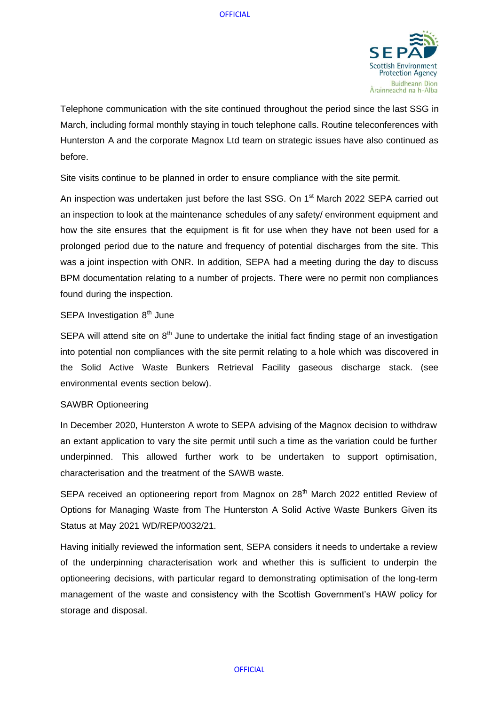

Telephone communication with the site continued throughout the period since the last SSG in March, including formal monthly staying in touch telephone calls. Routine teleconferences with Hunterston A and the corporate Magnox Ltd team on strategic issues have also continued as before.

Site visits continue to be planned in order to ensure compliance with the site permit.

An inspection was undertaken just before the last SSG. On 1<sup>st</sup> March 2022 SEPA carried out an inspection to look at the maintenance schedules of any safety/ environment equipment and how the site ensures that the equipment is fit for use when they have not been used for a prolonged period due to the nature and frequency of potential discharges from the site. This was a joint inspection with ONR. In addition, SEPA had a meeting during the day to discuss BPM documentation relating to a number of projects. There were no permit non compliances found during the inspection.

# SEPA Investigation  $8<sup>th</sup>$  June

SEPA will attend site on  $8<sup>th</sup>$  June to undertake the initial fact finding stage of an investigation into potential non compliances with the site permit relating to a hole which was discovered in the Solid Active Waste Bunkers Retrieval Facility gaseous discharge stack. (see environmental events section below).

#### SAWBR Optioneering

In December 2020, Hunterston A wrote to SEPA advising of the Magnox decision to withdraw an extant application to vary the site permit until such a time as the variation could be further underpinned. This allowed further work to be undertaken to support optimisation, characterisation and the treatment of the SAWB waste.

SEPA received an optioneering report from Magnox on  $28<sup>th</sup>$  March 2022 entitled Review of Options for Managing Waste from The Hunterston A Solid Active Waste Bunkers Given its Status at May 2021 WD/REP/0032/21.

Having initially reviewed the information sent, SEPA considers it needs to undertake a review of the underpinning characterisation work and whether this is sufficient to underpin the optioneering decisions, with particular regard to demonstrating optimisation of the long-term management of the waste and consistency with the Scottish Government's HAW policy for storage and disposal.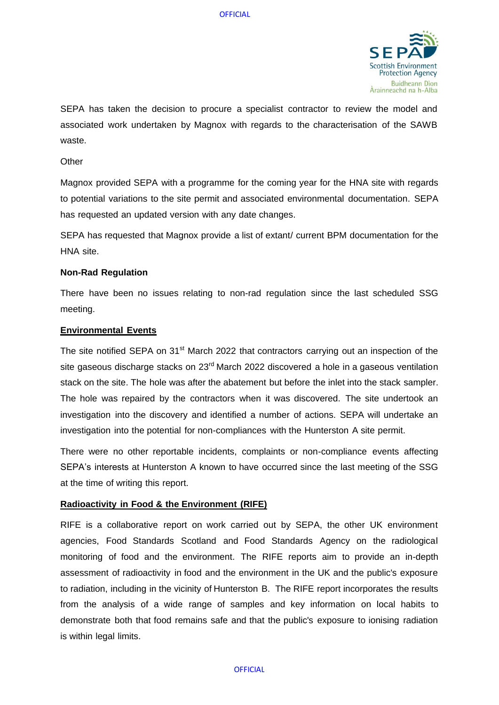

SEPA has taken the decision to procure a specialist contractor to review the model and associated work undertaken by Magnox with regards to the characterisation of the SAWB waste.

#### **Other**

Magnox provided SEPA with a programme for the coming year for the HNA site with regards to potential variations to the site permit and associated environmental documentation. SEPA has requested an updated version with any date changes.

SEPA has requested that Magnox provide a list of extant/ current BPM documentation for the HNA site.

#### **Non-Rad Regulation**

There have been no issues relating to non-rad regulation since the last scheduled SSG meeting.

#### **Environmental Events**

The site notified SEPA on 31<sup>st</sup> March 2022 that contractors carrying out an inspection of the site gaseous discharge stacks on 23<sup>rd</sup> March 2022 discovered a hole in a gaseous ventilation stack on the site. The hole was after the abatement but before the inlet into the stack sampler. The hole was repaired by the contractors when it was discovered. The site undertook an investigation into the discovery and identified a number of actions. SEPA will undertake an investigation into the potential for non-compliances with the Hunterston A site permit.

There were no other reportable incidents, complaints or non-compliance events affecting SEPA's interests at Hunterston A known to have occurred since the last meeting of the SSG at the time of writing this report.

#### **Radioactivity in Food & the Environment (RIFE)**

RIFE is a collaborative report on work carried out by SEPA, the other UK environment agencies, Food Standards Scotland and Food Standards Agency on the radiological monitoring of food and the environment. The RIFE reports aim to provide an in-depth assessment of radioactivity in food and the environment in the UK and the public's exposure to radiation, including in the vicinity of Hunterston B. The RIFE report incorporates the results from the analysis of a wide range of samples and key information on local habits to demonstrate both that food remains safe and that the public's exposure to ionising radiation is within legal limits.